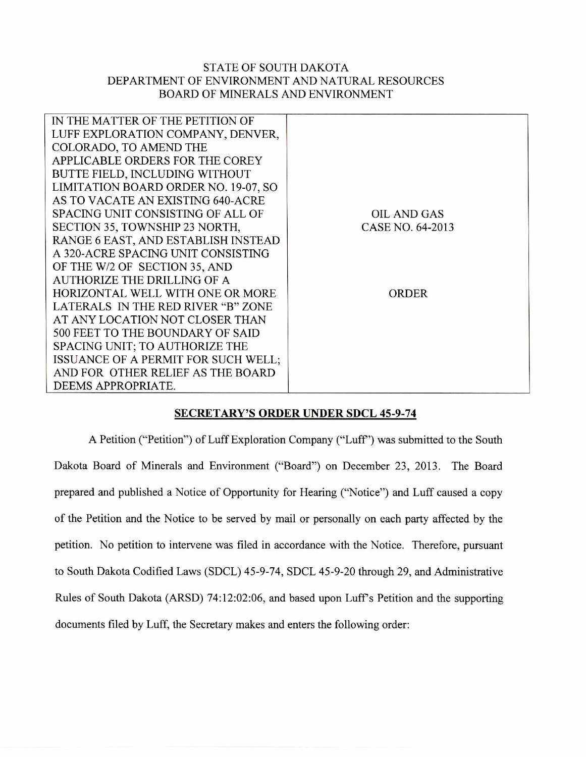## STATE OF SOUTH DAKOTA DEPARTMENT OF ENVIRONMENT AND NATURAL RESOURCES BOARD OF MINERALS AND ENVIRONMENT

| IN THE MATTER OF THE PETITION OF     |                    |
|--------------------------------------|--------------------|
| LUFF EXPLORATION COMPANY, DENVER,    |                    |
| COLORADO, TO AMEND THE               |                    |
| APPLICABLE ORDERS FOR THE COREY      |                    |
| BUTTE FIELD, INCLUDING WITHOUT       |                    |
| LIMITATION BOARD ORDER NO. 19-07, SO |                    |
| AS TO VACATE AN EXISTING 640-ACRE    |                    |
| SPACING UNIT CONSISTING OF ALL OF    | <b>OIL AND GAS</b> |
| SECTION 35, TOWNSHIP 23 NORTH,       | CASE NO. 64-2013   |
| RANGE 6 EAST, AND ESTABLISH INSTEAD  |                    |
| A 320-ACRE SPACING UNIT CONSISTING   |                    |
| OF THE W/2 OF SECTION 35, AND        |                    |
| AUTHORIZE THE DRILLING OF A          |                    |
| HORIZONTAL WELL WITH ONE OR MORE     | <b>ORDER</b>       |
| LATERALS IN THE RED RIVER "B" ZONE   |                    |
| AT ANY LOCATION NOT CLOSER THAN      |                    |
| 500 FEET TO THE BOUNDARY OF SAID     |                    |
| SPACING UNIT; TO AUTHORIZE THE       |                    |
| ISSUANCE OF A PERMIT FOR SUCH WELL;  |                    |
| AND FOR OTHER RELIEF AS THE BOARD    |                    |
| DEEMS APPROPRIATE.                   |                    |

## **SECRETARY'S ORDER UNDER SDCL 45-9-74**

A Petition ("Petition") of Luff Exploration Company ("Luff') was submitted to the South Dakota Board of Minerals and Environment ("Board") on December 23, 2013. The Board prepared and published a Notice of Opportunity for Hearing ("Notice") and Luff caused a copy of the Petition and the Notice to be served by mail or personally on each party affected by the petition. No petition to intervene was filed in accordance with the Notice. Therefore, pursuant to South Dakota Codified Laws (SDCL) 45-9-74, SDCL 45-9-20 through 29, and Administrative Rules of South Dakota (ARSD) 74:12:02:06, and based upon Luff's Petition and the supporting documents filed by Luff, the Secretary makes and enters the following order: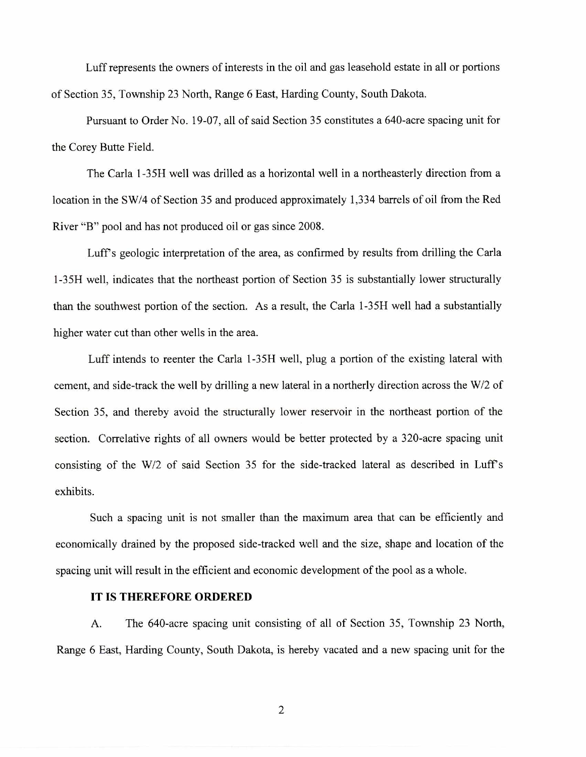Luff represents the owners of interests in the oil and gas leasehold estate in all or portions of Section 35, Township 23 North, Range 6 East, Harding County, South Dakota.

Pursuant to Order No. 19-07, all of said Section 35 constitutes a 640-acre spacing unit for the Corey Butte Field.

The Carla 1-35H well was drilled as a horizontal well in a northeasterly direction from a location in the SW/4 of Section 35 and produced approximately 1,334 barrels of oil from the Red River "B" pool and has not produced oil or gas since 2008.

Luff's geologic interpretation of the area, as confirmed by results from drilling the Carla 1-35H well, indicates that the northeast portion of Section 35 is substantially lower structurally than the southwest portion of the section. As a result, the Carla 1-35H well had a substantially higher water cut than other wells in the area.

Luff intends to reenter the Carla 1-35H well, plug a portion of the existing lateral with cement, and side-track the well by drilling a new lateral in a northerly direction across the W/2 of Section 35, and thereby avoid the structurally lower reservoir in the northeast portion of the section. Correlative rights of all owners would be better protected by a 320-acre spacing unit consisting of the W/2 of said Section 35 for the side-tracked lateral as described in Luff's exhibits.

Such a spacing unit is not smaller than the maximum area that can be efficiently and economically drained by the proposed side-tracked well and the size, shape and location of the spacing unit will result in the efficient and economic development of the pool as a whole.

## **IT IS THEREFORE ORDERED**

A. The 640-acre spacing unit consisting of all of Section 35, Township 23 North, Range 6 East, Harding County, South Dakota, is hereby vacated and a new spacing unit for the